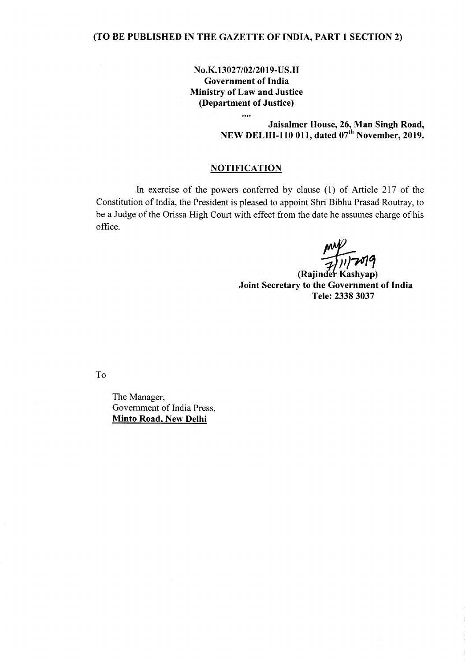**No.K.13027/02/2019-US.II Government of India Ministry of Law and Justice (Department of Justice)**

 $\ddotsc$ 

**Jaisalmer House, 26, Man Singh Road, NEW DELHI-110 011, dated 07th November, 2019.**

## **NOTIFICATION**

In exercise of the powers conferred by clause (1) of Article 217 of the Constitution of India, the President is pleased to appoint Shri Bibhu Prasad Routray, to be a Judge of the Orissa High Court with effect from the date he assumes charge of his office.

(Rajinder Kashyap) **Joint Secretary to the Government of India Tele: 23383037**

To

The Manager, Government of India Press, **Minto Road, New Delhi**